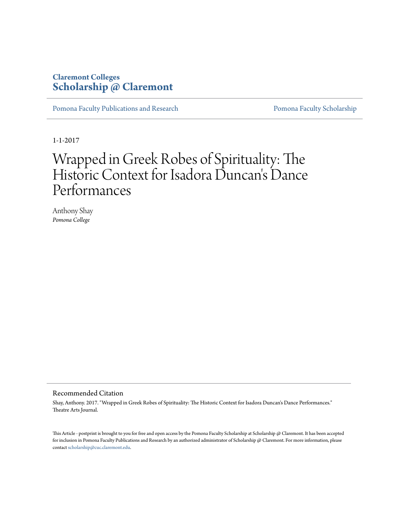### **Claremont Colleges [Scholarship @ Claremont](http://scholarship.claremont.edu)**

[Pomona Faculty Publications and Research](http://scholarship.claremont.edu/pomona_fac_pub) [Pomona Faculty Scholarship](http://scholarship.claremont.edu/pomona_faculty)

1-1-2017

# Wrapped in Greek Robes of Spirituality: The Historic Context for Isadora Duncan 's Dance Performances

Anthony Shay *Pomona College*

#### Recommended Citation

Shay, Anthony. 2017. "Wrapped in Greek Robes of Spirituality: The Historic Context for Isadora Duncan's Dance Performances." Theatre Arts Journal.

This Article - postprint is brought to you for free and open access by the Pomona Faculty Scholarship at Scholarship @ Claremont. It has been accepted for inclusion in Pomona Faculty Publications and Research by an authorized administrator of Scholarship @ Claremont. For more information, please contact [scholarship@cuc.claremont.edu](mailto:scholarship@cuc.claremont.edu).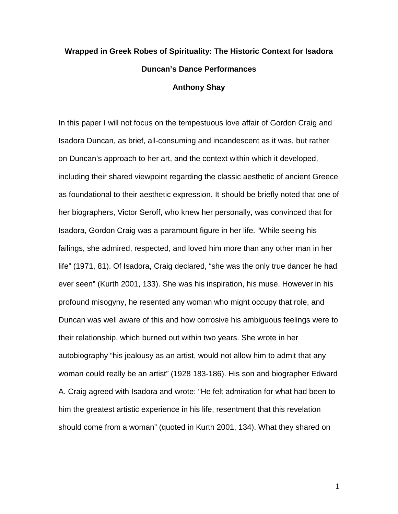## **Wrapped in Greek Robes of Spirituality: The Historic Context for Isadora Duncan's Dance Performances Anthony Shay**

In this paper I will not focus on the tempestuous love affair of Gordon Craig and Isadora Duncan, as brief, all-consuming and incandescent as it was, but rather on Duncan's approach to her art, and the context within which it developed, including their shared viewpoint regarding the classic aesthetic of ancient Greece as foundational to their aesthetic expression. It should be briefly noted that one of her biographers, Victor Seroff, who knew her personally, was convinced that for Isadora, Gordon Craig was a paramount figure in her life. "While seeing his failings, she admired, respected, and loved him more than any other man in her life" (1971, 81). Of Isadora, Craig declared, "she was the only true dancer he had ever seen" (Kurth 2001, 133). She was his inspiration, his muse. However in his profound misogyny, he resented any woman who might occupy that role, and Duncan was well aware of this and how corrosive his ambiguous feelings were to their relationship, which burned out within two years. She wrote in her autobiography "his jealousy as an artist, would not allow him to admit that any woman could really be an artist" (1928 183-186). His son and biographer Edward A. Craig agreed with Isadora and wrote: "He felt admiration for what had been to him the greatest artistic experience in his life, resentment that this revelation should come from a woman" (quoted in Kurth 2001, 134). What they shared on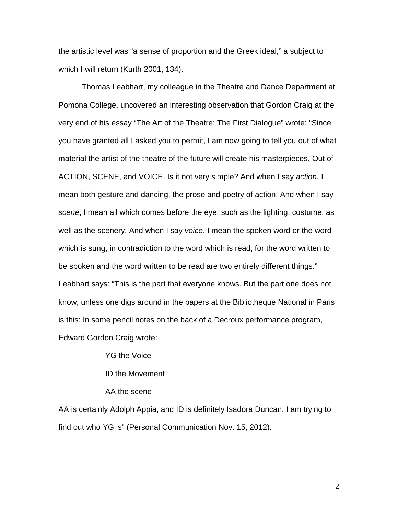the artistic level was "a sense of proportion and the Greek ideal," a subject to which I will return (Kurth 2001, 134).

Thomas Leabhart, my colleague in the Theatre and Dance Department at Pomona College, uncovered an interesting observation that Gordon Craig at the very end of his essay "The Art of the Theatre: The First Dialogue" wrote: "Since you have granted all I asked you to permit, I am now going to tell you out of what material the artist of the theatre of the future will create his masterpieces. Out of ACTION, SCENE, and VOICE. Is it not very simple? And when I say *action*, I mean both gesture and dancing, the prose and poetry of action. And when I say *scene*, I mean all which comes before the eye, such as the lighting, costume, as well as the scenery. And when I say *voice*, I mean the spoken word or the word which is sung, in contradiction to the word which is read, for the word written to be spoken and the word written to be read are two entirely different things." Leabhart says: "This is the part that everyone knows. But the part one does not know, unless one digs around in the papers at the Bibliotheque National in Paris is this: In some pencil notes on the back of a Decroux performance program, Edward Gordon Craig wrote:

YG the Voice

ID the Movement

AA the scene

AA is certainly Adolph Appia, and ID is definitely Isadora Duncan. I am trying to find out who YG is" (Personal Communication Nov. 15, 2012).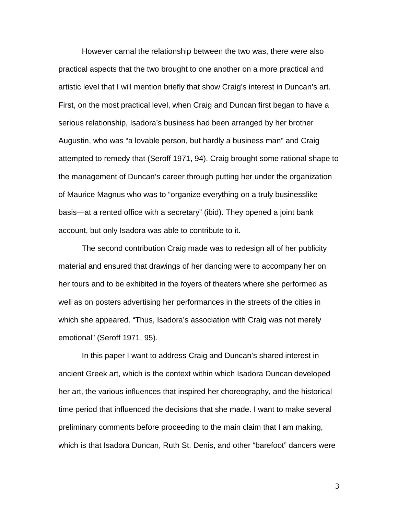However carnal the relationship between the two was, there were also practical aspects that the two brought to one another on a more practical and artistic level that I will mention briefly that show Craig's interest in Duncan's art. First, on the most practical level, when Craig and Duncan first began to have a serious relationship, Isadora's business had been arranged by her brother Augustin, who was "a lovable person, but hardly a business man" and Craig attempted to remedy that (Seroff 1971, 94). Craig brought some rational shape to the management of Duncan's career through putting her under the organization of Maurice Magnus who was to "organize everything on a truly businesslike basis—at a rented office with a secretary" (ibid). They opened a joint bank account, but only Isadora was able to contribute to it.

The second contribution Craig made was to redesign all of her publicity material and ensured that drawings of her dancing were to accompany her on her tours and to be exhibited in the foyers of theaters where she performed as well as on posters advertising her performances in the streets of the cities in which she appeared. "Thus, Isadora's association with Craig was not merely emotional" (Seroff 1971, 95).

In this paper I want to address Craig and Duncan's shared interest in ancient Greek art, which is the context within which Isadora Duncan developed her art, the various influences that inspired her choreography, and the historical time period that influenced the decisions that she made. I want to make several preliminary comments before proceeding to the main claim that I am making, which is that Isadora Duncan, Ruth St. Denis, and other "barefoot" dancers were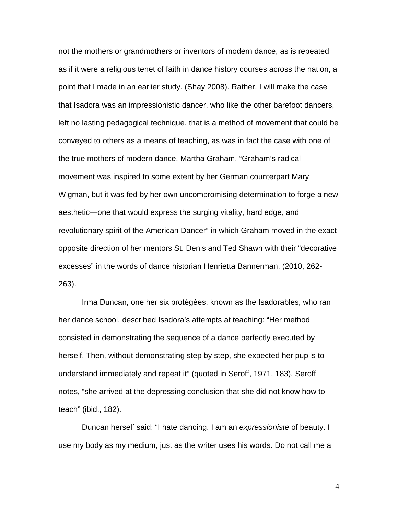not the mothers or grandmothers or inventors of modern dance, as is repeated as if it were a religious tenet of faith in dance history courses across the nation, a point that I made in an earlier study. (Shay 2008). Rather, I will make the case that Isadora was an impressionistic dancer, who like the other barefoot dancers, left no lasting pedagogical technique, that is a method of movement that could be conveyed to others as a means of teaching, as was in fact the case with one of the true mothers of modern dance, Martha Graham. "Graham's radical movement was inspired to some extent by her German counterpart Mary Wigman, but it was fed by her own uncompromising determination to forge a new aesthetic—one that would express the surging vitality, hard edge, and revolutionary spirit of the American Dancer" in which Graham moved in the exact opposite direction of her mentors St. Denis and Ted Shawn with their "decorative excesses" in the words of dance historian Henrietta Bannerman. (2010, 262- 263).

Irma Duncan, one her six protégées, known as the Isadorables, who ran her dance school, described Isadora's attempts at teaching: "Her method consisted in demonstrating the sequence of a dance perfectly executed by herself. Then, without demonstrating step by step, she expected her pupils to understand immediately and repeat it" (quoted in Seroff, 1971, 183). Seroff notes, "she arrived at the depressing conclusion that she did not know how to teach" (ibid., 182).

Duncan herself said: "I hate dancing. I am an *expressioniste* of beauty. I use my body as my medium, just as the writer uses his words. Do not call me a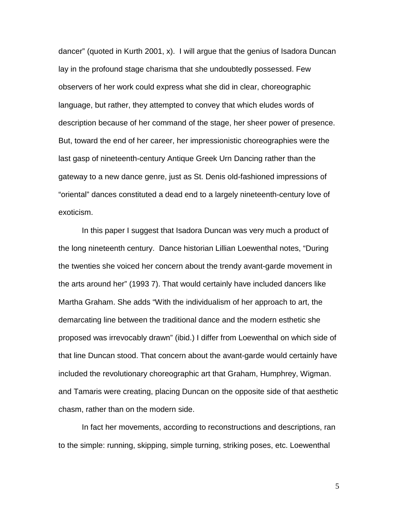dancer" (quoted in Kurth 2001, x). I will argue that the genius of Isadora Duncan lay in the profound stage charisma that she undoubtedly possessed. Few observers of her work could express what she did in clear, choreographic language, but rather, they attempted to convey that which eludes words of description because of her command of the stage, her sheer power of presence. But, toward the end of her career, her impressionistic choreographies were the last gasp of nineteenth-century Antique Greek Urn Dancing rather than the gateway to a new dance genre, just as St. Denis old-fashioned impressions of "oriental" dances constituted a dead end to a largely nineteenth-century love of exoticism.

In this paper I suggest that Isadora Duncan was very much a product of the long nineteenth century. Dance historian Lillian Loewenthal notes, "During the twenties she voiced her concern about the trendy avant-garde movement in the arts around her" (1993 7). That would certainly have included dancers like Martha Graham. She adds "With the individualism of her approach to art, the demarcating line between the traditional dance and the modern esthetic she proposed was irrevocably drawn" (ibid.) I differ from Loewenthal on which side of that line Duncan stood. That concern about the avant-garde would certainly have included the revolutionary choreographic art that Graham, Humphrey, Wigman. and Tamaris were creating, placing Duncan on the opposite side of that aesthetic chasm, rather than on the modern side.

In fact her movements, according to reconstructions and descriptions, ran to the simple: running, skipping, simple turning, striking poses, etc. Loewenthal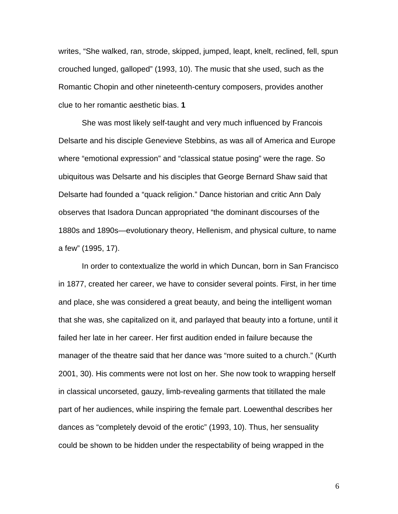writes, "She walked, ran, strode, skipped, jumped, leapt, knelt, reclined, fell, spun crouched lunged, galloped" (1993, 10). The music that she used, such as the Romantic Chopin and other nineteenth-century composers, provides another clue to her romantic aesthetic bias. **1**

She was most likely self-taught and very much influenced by Francois Delsarte and his disciple Genevieve Stebbins, as was all of America and Europe where "emotional expression" and "classical statue posing" were the rage. So ubiquitous was Delsarte and his disciples that George Bernard Shaw said that Delsarte had founded a "quack religion." Dance historian and critic Ann Daly observes that Isadora Duncan appropriated "the dominant discourses of the 1880s and 1890s—evolutionary theory, Hellenism, and physical culture, to name a few" (1995, 17).

In order to contextualize the world in which Duncan, born in San Francisco in 1877, created her career, we have to consider several points. First, in her time and place, she was considered a great beauty, and being the intelligent woman that she was, she capitalized on it, and parlayed that beauty into a fortune, until it failed her late in her career. Her first audition ended in failure because the manager of the theatre said that her dance was "more suited to a church." (Kurth 2001, 30). His comments were not lost on her. She now took to wrapping herself in classical uncorseted, gauzy, limb-revealing garments that titillated the male part of her audiences, while inspiring the female part. Loewenthal describes her dances as "completely devoid of the erotic" (1993, 10). Thus, her sensuality could be shown to be hidden under the respectability of being wrapped in the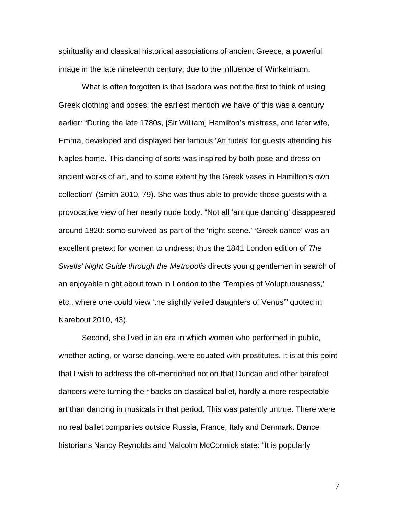spirituality and classical historical associations of ancient Greece, a powerful image in the late nineteenth century, due to the influence of Winkelmann.

What is often forgotten is that Isadora was not the first to think of using Greek clothing and poses; the earliest mention we have of this was a century earlier: "During the late 1780s, [Sir William] Hamilton's mistress, and later wife, Emma, developed and displayed her famous 'Attitudes' for guests attending his Naples home. This dancing of sorts was inspired by both pose and dress on ancient works of art, and to some extent by the Greek vases in Hamilton's own collection" (Smith 2010, 79). She was thus able to provide those guests with a provocative view of her nearly nude body. "Not all 'antique dancing' disappeared around 1820: some survived as part of the 'night scene.' 'Greek dance' was an excellent pretext for women to undress; thus the 1841 London edition of *The Swells' Night Guide through the Metropolis* directs young gentlemen in search of an enjoyable night about town in London to the 'Temples of Voluptuousness,' etc., where one could view 'the slightly veiled daughters of Venus'" quoted in Narebout 2010, 43).

Second, she lived in an era in which women who performed in public, whether acting, or worse dancing, were equated with prostitutes. It is at this point that I wish to address the oft-mentioned notion that Duncan and other barefoot dancers were turning their backs on classical ballet, hardly a more respectable art than dancing in musicals in that period. This was patently untrue. There were no real ballet companies outside Russia, France, Italy and Denmark. Dance historians Nancy Reynolds and Malcolm McCormick state: "It is popularly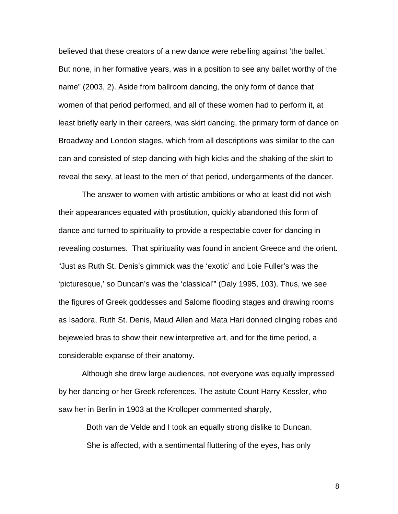believed that these creators of a new dance were rebelling against 'the ballet.' But none, in her formative years, was in a position to see any ballet worthy of the name" (2003, 2). Aside from ballroom dancing, the only form of dance that women of that period performed, and all of these women had to perform it, at least briefly early in their careers, was skirt dancing, the primary form of dance on Broadway and London stages, which from all descriptions was similar to the can can and consisted of step dancing with high kicks and the shaking of the skirt to reveal the sexy, at least to the men of that period, undergarments of the dancer.

The answer to women with artistic ambitions or who at least did not wish their appearances equated with prostitution, quickly abandoned this form of dance and turned to spirituality to provide a respectable cover for dancing in revealing costumes. That spirituality was found in ancient Greece and the orient. "Just as Ruth St. Denis's gimmick was the 'exotic' and Loie Fuller's was the 'picturesque,' so Duncan's was the 'classical'" (Daly 1995, 103). Thus, we see the figures of Greek goddesses and Salome flooding stages and drawing rooms as Isadora, Ruth St. Denis, Maud Allen and Mata Hari donned clinging robes and bejeweled bras to show their new interpretive art, and for the time period, a considerable expanse of their anatomy.

Although she drew large audiences, not everyone was equally impressed by her dancing or her Greek references. The astute Count Harry Kessler, who saw her in Berlin in 1903 at the Krolloper commented sharply,

Both van de Velde and I took an equally strong dislike to Duncan. She is affected, with a sentimental fluttering of the eyes, has only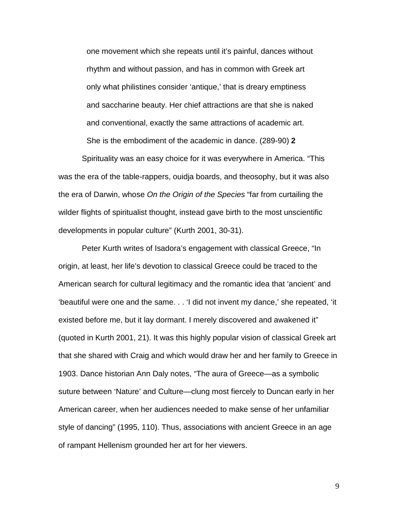one movement which she repeats until it's painful, dances without rhythm and without passion, and has in common with Greek art only what philistines consider 'antique,' that is dreary emptiness and saccharine beauty. Her chief attractions are that she is naked and conventional, exactly the same attractions of academic art. She is the embodiment of the academic in dance. (289-90) **2**

Spirituality was an easy choice for it was everywhere in America. "This was the era of the table-rappers, ouidja boards, and theosophy, but it was also the era of Darwin, whose *On the Origin of the Species* "far from curtailing the wilder flights of spiritualist thought, instead gave birth to the most unscientific developments in popular culture" (Kurth 2001, 30-31).

Peter Kurth writes of Isadora's engagement with classical Greece, "In origin, at least, her life's devotion to classical Greece could be traced to the American search for cultural legitimacy and the romantic idea that 'ancient' and 'beautiful were one and the same. . . 'I did not invent my dance,' she repeated, 'it existed before me, but it lay dormant. I merely discovered and awakened it" (quoted in Kurth 2001, 21). It was this highly popular vision of classical Greek art that she shared with Craig and which would draw her and her family to Greece in 1903. Dance historian Ann Daly notes, "The aura of Greece—as a symbolic suture between 'Nature' and Culture—clung most fiercely to Duncan early in her American career, when her audiences needed to make sense of her unfamiliar style of dancing" (1995, 110). Thus, associations with ancient Greece in an age of rampant Hellenism grounded her art for her viewers.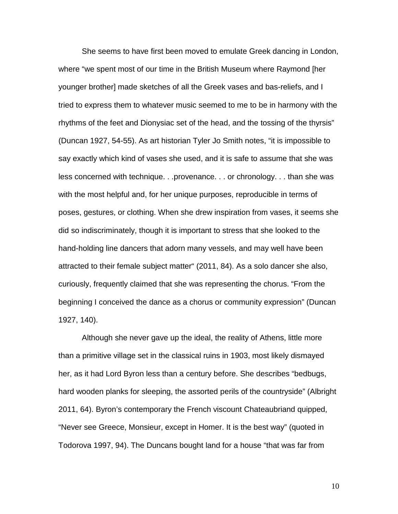She seems to have first been moved to emulate Greek dancing in London, where "we spent most of our time in the British Museum where Raymond [her younger brother] made sketches of all the Greek vases and bas-reliefs, and I tried to express them to whatever music seemed to me to be in harmony with the rhythms of the feet and Dionysiac set of the head, and the tossing of the thyrsis" (Duncan 1927, 54-55). As art historian Tyler Jo Smith notes, "it is impossible to say exactly which kind of vases she used, and it is safe to assume that she was less concerned with technique. . .provenance. . . or chronology. . . than she was with the most helpful and, for her unique purposes, reproducible in terms of poses, gestures, or clothing. When she drew inspiration from vases, it seems she did so indiscriminately, though it is important to stress that she looked to the hand-holding line dancers that adorn many vessels, and may well have been attracted to their female subject matter" (2011, 84). As a solo dancer she also, curiously, frequently claimed that she was representing the chorus. "From the beginning I conceived the dance as a chorus or community expression" (Duncan 1927, 140).

Although she never gave up the ideal, the reality of Athens, little more than a primitive village set in the classical ruins in 1903, most likely dismayed her, as it had Lord Byron less than a century before. She describes "bedbugs, hard wooden planks for sleeping, the assorted perils of the countryside" (Albright 2011, 64). Byron's contemporary the French viscount Chateaubriand quipped, "Never see Greece, Monsieur, except in Homer. It is the best way" (quoted in Todorova 1997, 94). The Duncans bought land for a house "that was far from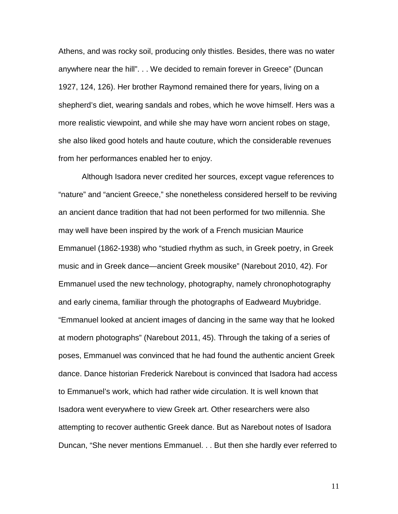Athens, and was rocky soil, producing only thistles. Besides, there was no water anywhere near the hill". . . We decided to remain forever in Greece" (Duncan 1927, 124, 126). Her brother Raymond remained there for years, living on a shepherd's diet, wearing sandals and robes, which he wove himself. Hers was a more realistic viewpoint, and while she may have worn ancient robes on stage, she also liked good hotels and haute couture, which the considerable revenues from her performances enabled her to enjoy.

Although Isadora never credited her sources, except vague references to "nature" and "ancient Greece," she nonetheless considered herself to be reviving an ancient dance tradition that had not been performed for two millennia. She may well have been inspired by the work of a French musician Maurice Emmanuel (1862-1938) who "studied rhythm as such, in Greek poetry, in Greek music and in Greek dance—ancient Greek mousike" (Narebout 2010, 42). For Emmanuel used the new technology, photography, namely chronophotography and early cinema, familiar through the photographs of Eadweard Muybridge. "Emmanuel looked at ancient images of dancing in the same way that he looked at modern photographs" (Narebout 2011, 45). Through the taking of a series of poses, Emmanuel was convinced that he had found the authentic ancient Greek dance. Dance historian Frederick Narebout is convinced that Isadora had access to Emmanuel's work, which had rather wide circulation. It is well known that Isadora went everywhere to view Greek art. Other researchers were also attempting to recover authentic Greek dance. But as Narebout notes of Isadora Duncan, "She never mentions Emmanuel. . . But then she hardly ever referred to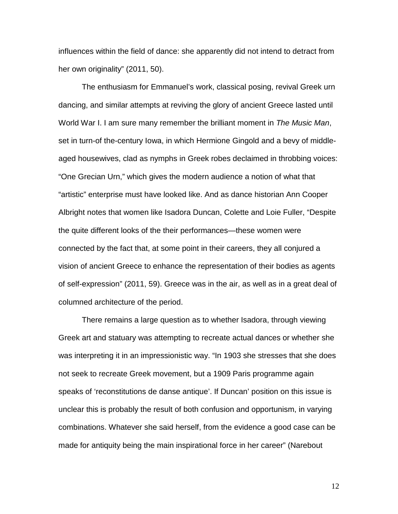influences within the field of dance: she apparently did not intend to detract from her own originality" (2011, 50).

The enthusiasm for Emmanuel's work, classical posing, revival Greek urn dancing, and similar attempts at reviving the glory of ancient Greece lasted until World War I. I am sure many remember the brilliant moment in *The Music Man*, set in turn-of the-century Iowa, in which Hermione Gingold and a bevy of middleaged housewives, clad as nymphs in Greek robes declaimed in throbbing voices: "One Grecian Urn," which gives the modern audience a notion of what that "artistic" enterprise must have looked like. And as dance historian Ann Cooper Albright notes that women like Isadora Duncan, Colette and Loie Fuller, "Despite the quite different looks of the their performances—these women were connected by the fact that, at some point in their careers, they all conjured a vision of ancient Greece to enhance the representation of their bodies as agents of self-expression" (2011, 59). Greece was in the air, as well as in a great deal of columned architecture of the period.

There remains a large question as to whether Isadora, through viewing Greek art and statuary was attempting to recreate actual dances or whether she was interpreting it in an impressionistic way. "In 1903 she stresses that she does not seek to recreate Greek movement, but a 1909 Paris programme again speaks of 'reconstitutions de danse antique'. If Duncan' position on this issue is unclear this is probably the result of both confusion and opportunism, in varying combinations. Whatever she said herself, from the evidence a good case can be made for antiquity being the main inspirational force in her career" (Narebout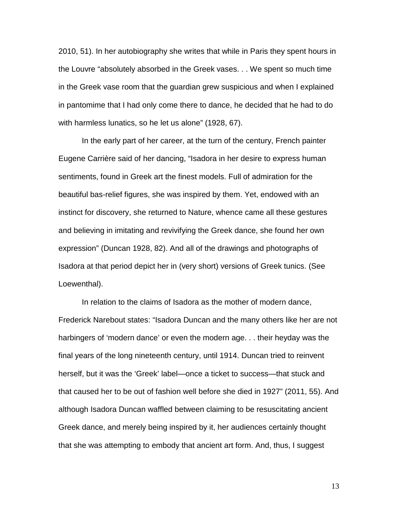2010, 51). In her autobiography she writes that while in Paris they spent hours in the Louvre "absolutely absorbed in the Greek vases. . . We spent so much time in the Greek vase room that the guardian grew suspicious and when I explained in pantomime that I had only come there to dance, he decided that he had to do with harmless lunatics, so he let us alone" (1928, 67).

In the early part of her career, at the turn of the century, French painter Eugene Carrière said of her dancing, "Isadora in her desire to express human sentiments, found in Greek art the finest models. Full of admiration for the beautiful bas-relief figures, she was inspired by them. Yet, endowed with an instinct for discovery, she returned to Nature, whence came all these gestures and believing in imitating and revivifying the Greek dance, she found her own expression" (Duncan 1928, 82). And all of the drawings and photographs of Isadora at that period depict her in (very short) versions of Greek tunics. (See Loewenthal).

In relation to the claims of Isadora as the mother of modern dance, Frederick Narebout states: "Isadora Duncan and the many others like her are not harbingers of 'modern dance' or even the modern age. . . their heyday was the final years of the long nineteenth century, until 1914. Duncan tried to reinvent herself, but it was the 'Greek' label—once a ticket to success—that stuck and that caused her to be out of fashion well before she died in 1927" (2011, 55). And although Isadora Duncan waffled between claiming to be resuscitating ancient Greek dance, and merely being inspired by it, her audiences certainly thought that she was attempting to embody that ancient art form. And, thus, I suggest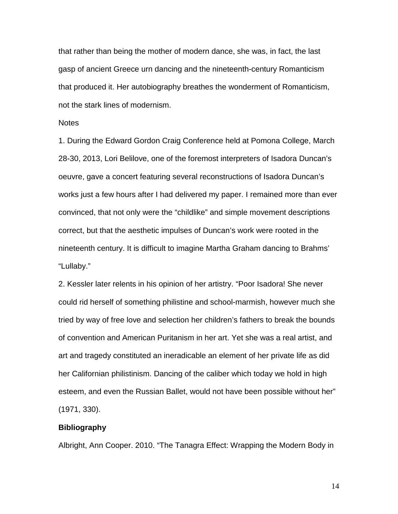that rather than being the mother of modern dance, she was, in fact, the last gasp of ancient Greece urn dancing and the nineteenth-century Romanticism that produced it. Her autobiography breathes the wonderment of Romanticism, not the stark lines of modernism.

### **Notes**

1. During the Edward Gordon Craig Conference held at Pomona College, March 28-30, 2013, Lori Belilove, one of the foremost interpreters of Isadora Duncan's oeuvre, gave a concert featuring several reconstructions of Isadora Duncan's works just a few hours after I had delivered my paper. I remained more than ever convinced, that not only were the "childlike" and simple movement descriptions correct, but that the aesthetic impulses of Duncan's work were rooted in the nineteenth century. It is difficult to imagine Martha Graham dancing to Brahms' "Lullaby."

2. Kessler later relents in his opinion of her artistry. "Poor Isadora! She never could rid herself of something philistine and school-marmish, however much she tried by way of free love and selection her children's fathers to break the bounds of convention and American Puritanism in her art. Yet she was a real artist, and art and tragedy constituted an ineradicable an element of her private life as did her Californian philistinism. Dancing of the caliber which today we hold in high esteem, and even the Russian Ballet, would not have been possible without her" (1971, 330).

### **Bibliography**

Albright, Ann Cooper. 2010. "The Tanagra Effect: Wrapping the Modern Body in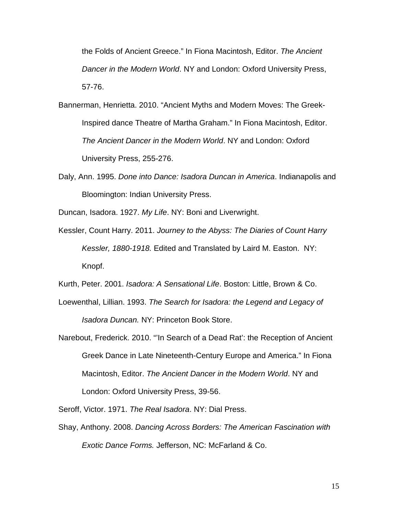the Folds of Ancient Greece." In Fiona Macintosh, Editor. *The Ancient Dancer in the Modern World*. NY and London: Oxford University Press, 57-76.

- Bannerman, Henrietta. 2010. "Ancient Myths and Modern Moves: The Greek-Inspired dance Theatre of Martha Graham." In Fiona Macintosh, Editor. *The Ancient Dancer in the Modern World*. NY and London: Oxford University Press, 255-276.
- Daly, Ann. 1995. *Done into Dance: Isadora Duncan in America*. Indianapolis and Bloomington: Indian University Press.

Duncan, Isadora. 1927. *My Life*. NY: Boni and Liverwright.

Kessler, Count Harry. 2011. *Journey to the Abyss: The Diaries of Count Harry Kessler, 1880-1918.* Edited and Translated by Laird M. Easton. NY: Knopf.

Kurth, Peter. 2001. *Isadora: A Sensational Life*. Boston: Little, Brown & Co.

- Loewenthal, Lillian. 1993. *The Search for Isadora: the Legend and Legacy of Isadora Duncan.* NY: Princeton Book Store.
- Narebout, Frederick. 2010. "'In Search of a Dead Rat': the Reception of Ancient Greek Dance in Late Nineteenth-Century Europe and America." In Fiona Macintosh, Editor. *The Ancient Dancer in the Modern World*. NY and London: Oxford University Press, 39-56.

Seroff, Victor. 1971. *The Real Isadora*. NY: Dial Press.

Shay, Anthony. 2008. *Dancing Across Borders: The American Fascination with Exotic Dance Forms.* Jefferson, NC: McFarland & Co.